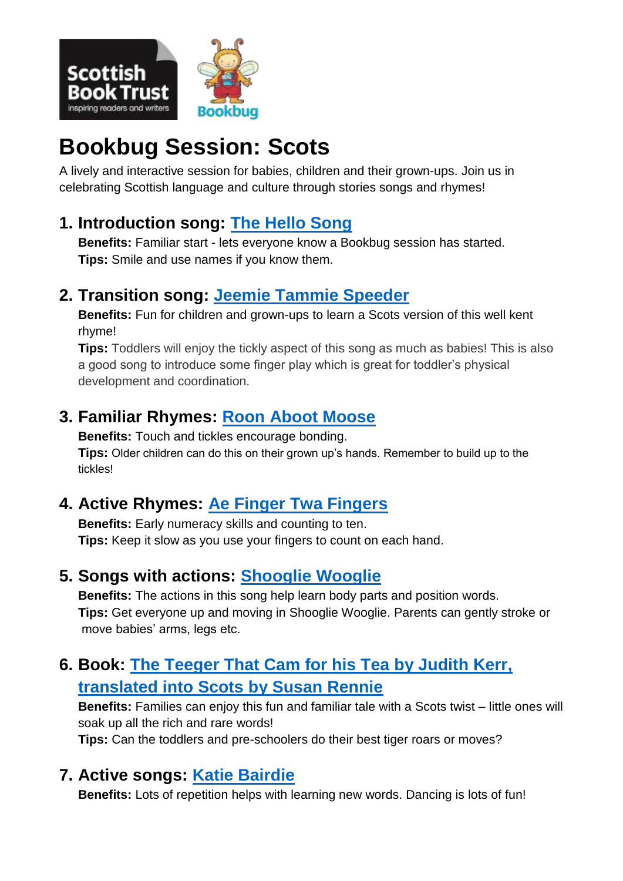

# **Bookbug Session: Scots**

A lively and interactive session for babies, children and their grown-ups. Join us in celebrating Scottish language and culture through stories songs and rhymes!

## **1. Introduction song: [The Hello Song](https://www.scottishbooktrust.com/songs-and-rhymes/the-hello-song)**

**Benefits:** Familiar start - lets everyone know a Bookbug session has started. **Tips:** Smile and use names if you know them.

## **2. Transition song: [Jeemie Tammie Speeder](https://www.scottishbooktrust.com/songs-and-rhymes/jeemie-tammie-speeder)**

**Benefits:** Fun for children and grown-ups to learn a Scots version of this well kent rhyme!

**Tips:** Toddlers will enjoy the tickly aspect of this song as much as babies! This is also a good song to introduce some finger play which is great for toddler's physical development and coordination.

# **3. Familiar Rhymes: [Roon Aboot Moose](https://www.scottishbooktrust.com/songs-and-rhymes/roon-aboot-moose-audio)**

**Benefits:** Touch and tickles encourage bonding. **Tips:** Older children can do this on their grown up's hands. Remember to build up to the tickles!

# **4. Active Rhymes: [Ae Finger Twa Fingers](https://www.scottishbooktrust.com/songs-and-rhymes/fingers-song-ae-finger-twa-fingers-three-fingers-fower)**

**Benefits:** Early numeracy skills and counting to ten. **Tips:** Keep it slow as you use your fingers to count on each hand.

## **5. Songs with actions: [Shooglie Wooglie](hhttps://www.scottishbooktrust.com/songs-and-rhymes/shooglie-wooglie-audio)**

**Benefits:** The actions in this song help learn body parts and position words. **Tips:** Get everyone up and moving in Shooglie Wooglie. Parents can gently stroke or move babies' arms, legs etc.

# **6. Book: [The Teeger That Cam for his Tea](https://discoverkelpies.co.uk/books/animals/teeger-that-cam-for-his-tea/) by Judith Kerr, [translated into Scots by Susan Rennie](https://discoverkelpies.co.uk/books/animals/teeger-that-cam-for-his-tea/)**

**Benefits:** Families can enjoy this fun and familiar tale with a Scots twist – little ones will soak up all the rich and rare words!

**Tips:** Can the toddlers and pre-schoolers do their best tiger roars or moves?

## **7. Active songs: [Katie Bairdie](https://www.scottishbooktrust.com/songs-and-rhymes/katie-bairdie-audio)**

**Benefits:** Lots of repetition helps with learning new words. Dancing is lots of fun!